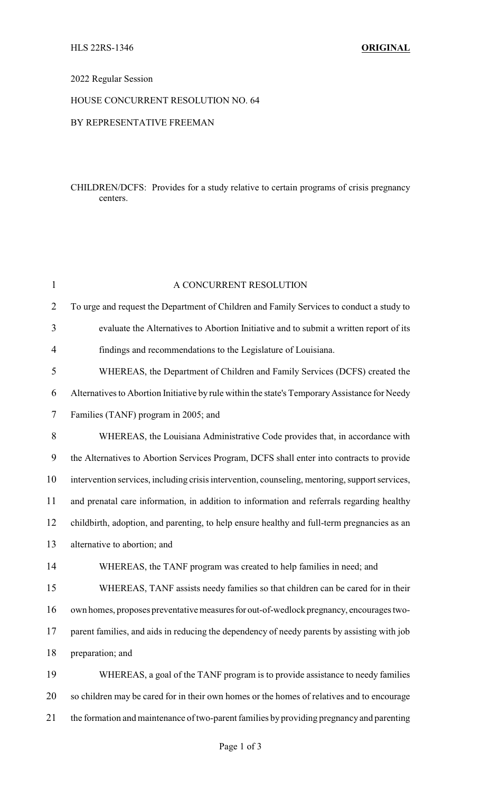## 2022 Regular Session

# HOUSE CONCURRENT RESOLUTION NO. 64

### BY REPRESENTATIVE FREEMAN

## CHILDREN/DCFS: Provides for a study relative to certain programs of crisis pregnancy centers.

| $\mathbf{1}$   | A CONCURRENT RESOLUTION                                                                        |  |  |
|----------------|------------------------------------------------------------------------------------------------|--|--|
| $\overline{2}$ | To urge and request the Department of Children and Family Services to conduct a study to       |  |  |
| 3              | evaluate the Alternatives to Abortion Initiative and to submit a written report of its         |  |  |
| 4              | findings and recommendations to the Legislature of Louisiana.                                  |  |  |
| 5              | WHEREAS, the Department of Children and Family Services (DCFS) created the                     |  |  |
| 6              | Alternatives to Abortion Initiative by rule within the state's Temporary Assistance for Needy  |  |  |
| 7              | Families (TANF) program in 2005; and                                                           |  |  |
| 8              | WHEREAS, the Louisiana Administrative Code provides that, in accordance with                   |  |  |
| 9              | the Alternatives to Abortion Services Program, DCFS shall enter into contracts to provide      |  |  |
| 10             | intervention services, including crisis intervention, counseling, mentoring, support services, |  |  |
| 11             | and prenatal care information, in addition to information and referrals regarding healthy      |  |  |
| 12             | childbirth, adoption, and parenting, to help ensure healthy and full-term pregnancies as an    |  |  |
| 13             | alternative to abortion; and                                                                   |  |  |
| 14             | WHEREAS, the TANF program was created to help families in need; and                            |  |  |
| 15             | WHEREAS, TANF assists needy families so that children can be cared for in their                |  |  |
| 16             | own homes, proposes preventative measures for out-of-wedlock pregnancy, encourages two-        |  |  |
| 17             | parent families, and aids in reducing the dependency of needy parents by assisting with job    |  |  |
| 18             | preparation; and                                                                               |  |  |
| 19             | WHEREAS, a goal of the TANF program is to provide assistance to needy families                 |  |  |
| 20             | so children may be cared for in their own homes or the homes of relatives and to encourage     |  |  |
| 21             | the formation and maintenance of two-parent families by providing pregnancy and parenting      |  |  |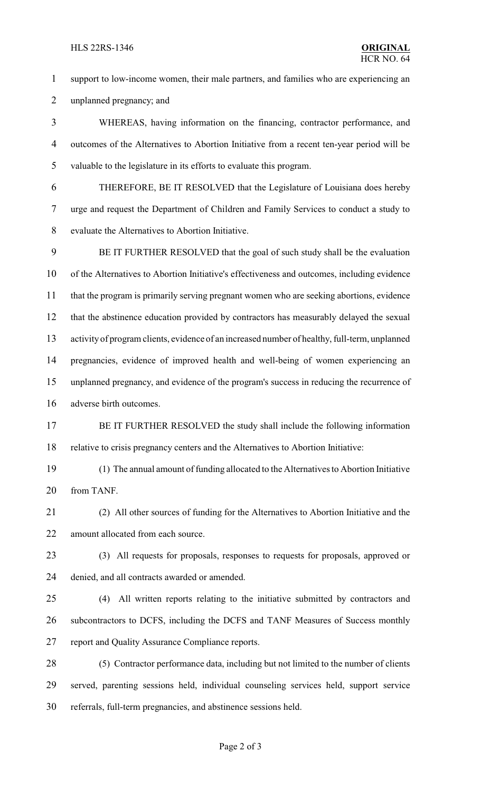#### HLS 22RS-1346 **ORIGINAL**

 support to low-income women, their male partners, and families who are experiencing an unplanned pregnancy; and

 WHEREAS, having information on the financing, contractor performance, and outcomes of the Alternatives to Abortion Initiative from a recent ten-year period will be valuable to the legislature in its efforts to evaluate this program.

 THEREFORE, BE IT RESOLVED that the Legislature of Louisiana does hereby urge and request the Department of Children and Family Services to conduct a study to evaluate the Alternatives to Abortion Initiative.

 BE IT FURTHER RESOLVED that the goal of such study shall be the evaluation of the Alternatives to Abortion Initiative's effectiveness and outcomes, including evidence that the program is primarily serving pregnant women who are seeking abortions, evidence that the abstinence education provided by contractors has measurably delayed the sexual activity of program clients, evidence of an increased number of healthy, full-term, unplanned pregnancies, evidence of improved health and well-being of women experiencing an unplanned pregnancy, and evidence of the program's success in reducing the recurrence of adverse birth outcomes.

17 BE IT FURTHER RESOLVED the study shall include the following information relative to crisis pregnancy centers and the Alternatives to Abortion Initiative:

 (1) The annual amount of funding allocated to the Alternatives to Abortion Initiative from TANF.

 (2) All other sources of funding for the Alternatives to Abortion Initiative and the 22 amount allocated from each source.

 (3) All requests for proposals, responses to requests for proposals, approved or denied, and all contracts awarded or amended.

 (4) All written reports relating to the initiative submitted by contractors and subcontractors to DCFS, including the DCFS and TANF Measures of Success monthly report and Quality Assurance Compliance reports.

 (5) Contractor performance data, including but not limited to the number of clients served, parenting sessions held, individual counseling services held, support service referrals, full-term pregnancies, and abstinence sessions held.